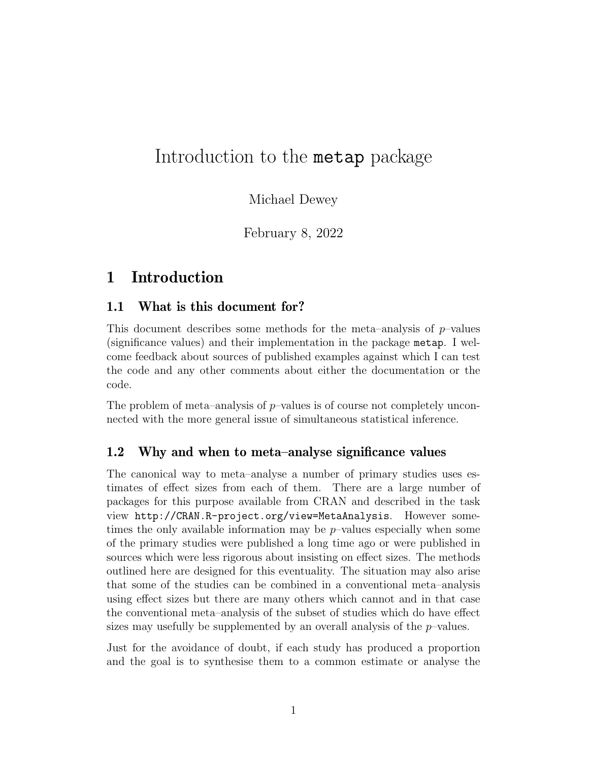# Introduction to the metap package

Michael Dewey

February 8, 2022

### 1 Introduction

#### 1.1 What is this document for?

This document describes some methods for the meta–analysis of  $p$ –values (significance values) and their implementation in the package metap. I welcome feedback about sources of published examples against which I can test the code and any other comments about either the documentation or the code.

The problem of meta–analysis of p–values is of course not completely unconnected with the more general issue of simultaneous statistical inference.

#### 1.2 Why and when to meta–analyse significance values

The canonical way to meta–analyse a number of primary studies uses estimates of effect sizes from each of them. There are a large number of packages for this purpose available from CRAN and described in the task view http://CRAN.R-project.org/view=MetaAnalysis. However sometimes the only available information may be  $p$ –values especially when some of the primary studies were published a long time ago or were published in sources which were less rigorous about insisting on effect sizes. The methods outlined here are designed for this eventuality. The situation may also arise that some of the studies can be combined in a conventional meta–analysis using effect sizes but there are many others which cannot and in that case the conventional meta–analysis of the subset of studies which do have effect sizes may usefully be supplemented by an overall analysis of the  $p$ -values.

Just for the avoidance of doubt, if each study has produced a proportion and the goal is to synthesise them to a common estimate or analyse the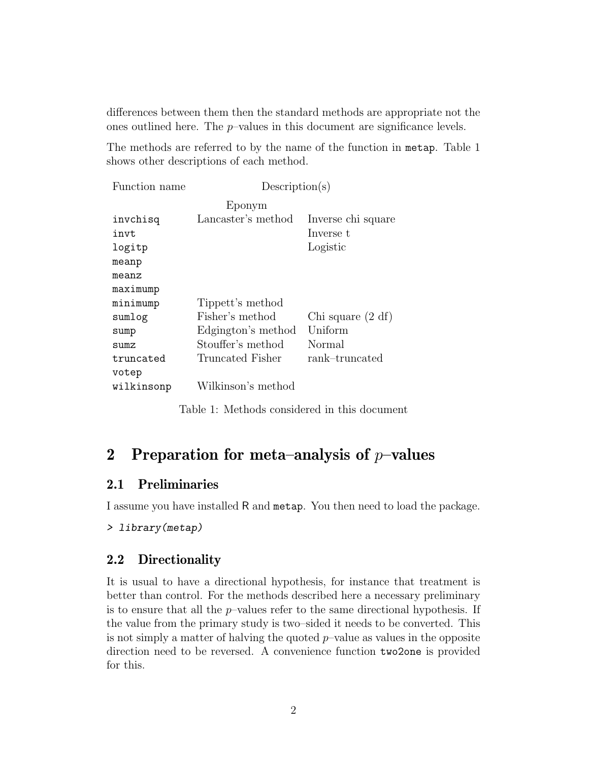differences between them then the standard methods are appropriate not the ones outlined here. The  $p$ -values in this document are significance levels.

The methods are referred to by the name of the function in metap. Table 1 shows other descriptions of each method.

| Function name | Description(s)     |                    |
|---------------|--------------------|--------------------|
|               | Eponym             |                    |
| invchisq      | Lancaster's method | Inverse chi square |
| invt          |                    | Inverse t          |
| logitp        |                    | Logistic           |
| meanp         |                    |                    |
| meanz         |                    |                    |
| maximump      |                    |                    |
| minimump      | Tippett's method   |                    |
| sumlog        | Fisher's method    | Chi square (2 df)  |
| sump          | Edgington's method | Uniform            |
| SUMZ.         | Stouffer's method  | Normal             |
| truncated     | Truncated Fisher   | rank-truncated     |
| votep         |                    |                    |
| wilkinsonp    | Wilkinson's method |                    |

Table 1: Methods considered in this document

### 2 Preparation for meta–analysis of  $p$ –values

#### 2.1 Preliminaries

I assume you have installed R and metap. You then need to load the package.

```
> library(metap)
```
#### 2.2 Directionality

It is usual to have a directional hypothesis, for instance that treatment is better than control. For the methods described here a necessary preliminary is to ensure that all the  $p$ -values refer to the same directional hypothesis. If the value from the primary study is two–sided it needs to be converted. This is not simply a matter of halving the quoted  $p$ -value as values in the opposite direction need to be reversed. A convenience function two2one is provided for this.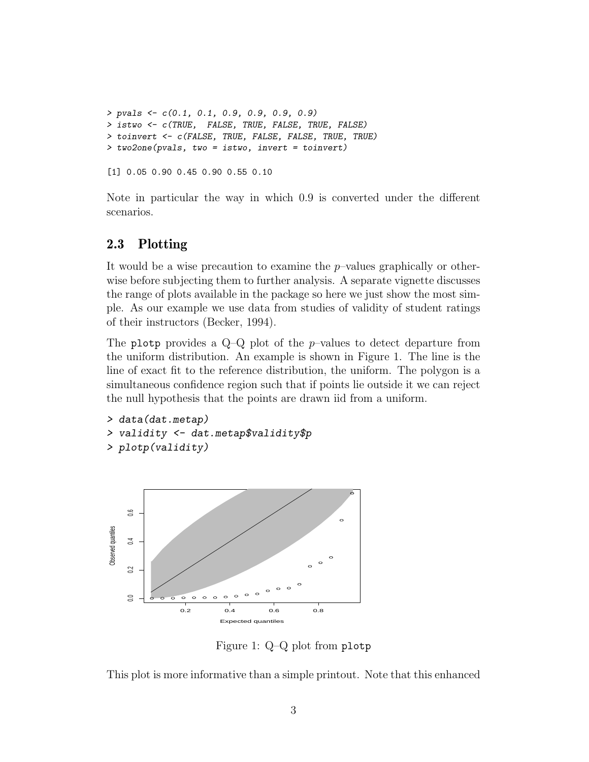```
> pvals <- c(0.1, 0.1, 0.9, 0.9, 0.9, 0.9)
> istwo <- c(TRUE, FALSE, TRUE, FALSE, TRUE, FALSE)
> toinvert <- c(FALSE, TRUE, FALSE, FALSE, TRUE, TRUE)
> two2one(pvals, two = istwo, invert = toinvert)
[1] 0.05 0.90 0.45 0.90 0.55 0.10
```
Note in particular the way in which 0.9 is converted under the different scenarios.

#### 2.3 Plotting

It would be a wise precaution to examine the  $p$ -values graphically or otherwise before subjecting them to further analysis. A separate vignette discusses the range of plots available in the package so here we just show the most simple. As our example we use data from studies of validity of student ratings of their instructors (Becker, 1994).

The plotp provides a  $Q-Q$  plot of the *p*-values to detect departure from the uniform distribution. An example is shown in Figure 1. The line is the line of exact fit to the reference distribution, the uniform. The polygon is a simultaneous confidence region such that if points lie outside it we can reject the null hypothesis that the points are drawn iid from a uniform.

```
> data(dat.metap)
> validity <- dat.metap$validity$p
> plotp(validity)
```


Figure 1: Q–Q plot from plotp

This plot is more informative than a simple printout. Note that this enhanced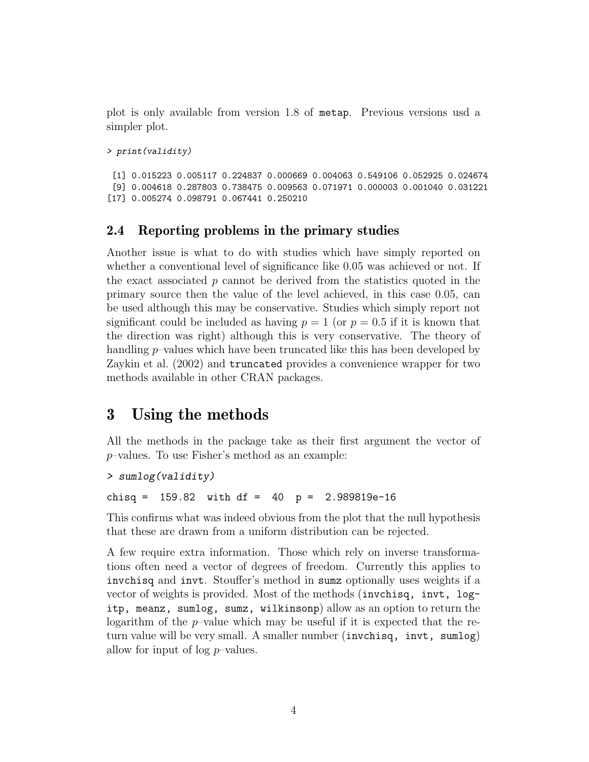plot is only available from version 1.8 of metap. Previous versions usd a simpler plot.

```
> print(validity)
```
[1] 0.015223 0.005117 0.224837 0.000669 0.004063 0.549106 0.052925 0.024674 [9] 0.004618 0.287803 0.738475 0.009563 0.071971 0.000003 0.001040 0.031221 [17] 0.005274 0.098791 0.067441 0.250210

#### 2.4 Reporting problems in the primary studies

Another issue is what to do with studies which have simply reported on whether a conventional level of significance like 0.05 was achieved or not. If the exact associated  $p$  cannot be derived from the statistics quoted in the primary source then the value of the level achieved, in this case 0.05, can be used although this may be conservative. Studies which simply report not significant could be included as having  $p = 1$  (or  $p = 0.5$  if it is known that the direction was right) although this is very conservative. The theory of handling p–values which have been truncated like this has been developed by Zaykin et al. (2002) and truncated provides a convenience wrapper for two methods available in other CRAN packages.

### 3 Using the methods

All the methods in the package take as their first argument the vector of p–values. To use Fisher's method as an example:

```
> sumlog(validity)
```
chisq =  $159.82$  with df =  $40$  p =  $2.989819e-16$ 

This confirms what was indeed obvious from the plot that the null hypothesis that these are drawn from a uniform distribution can be rejected.

A few require extra information. Those which rely on inverse transformations often need a vector of degrees of freedom. Currently this applies to invchisq and invt. Stouffer's method in sumz optionally uses weights if a vector of weights is provided. Most of the methods (invchisq, invt, logitp, meanz, sumlog, sumz, wilkinsonp) allow as an option to return the logarithm of the p–value which may be useful if it is expected that the return value will be very small. A smaller number (invchisq, invt, sumlog) allow for input of  $log p$ –values.